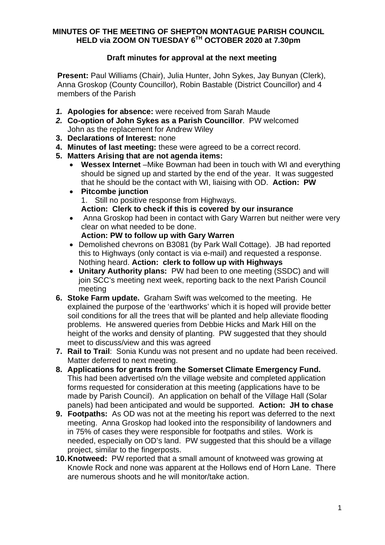## **MINUTES OF THE MEETING OF SHEPTON MONTAGUE PARISH COUNCIL HELD via ZOOM ON TUESDAY 6TH OCTOBER 2020 at 7.30pm**

## **Draft minutes for approval at the next meeting**

**Present:** Paul Williams (Chair), Julia Hunter, John Sykes, Jay Bunyan (Clerk), Anna Groskop (County Councillor), Robin Bastable (District Councillor) and 4 members of the Parish

- *1.* **Apologies for absence:** were received from Sarah Maude
- *2.* **Co-option of John Sykes as a Parish Councillor**. PW welcomed John as the replacement for Andrew Wiley
- **3. Declarations of Interest:** none
- **4. Minutes of last meeting:** these were agreed to be a correct record.
- **5. Matters Arising that are not agenda items:**
	- · **Wessex Internet** –Mike Bowman had been in touch with WI and everything should be signed up and started by the end of the year. It was suggested that he should be the contact with WI, liaising with OD. **Action: PW**
	- · **Pitcombe junction** 1. Still no positive response from Highways.
		- **Action: Clerk to check if this is covered by our insurance**
	- Anna Groskop had been in contact with Gary Warren but neither were very clear on what needed to be done.
		- **Action: PW to follow up with Gary Warren**
	- · Demolished chevrons on B3081 (by Park Wall Cottage). JB had reported this to Highways (only contact is via e-mail) and requested a response. Nothing heard. **Action: clerk to follow up with Highways**
	- · **Unitary Authority plans:** PW had been to one meeting (SSDC) and will join SCC's meeting next week, reporting back to the next Parish Council meeting
- **6. Stoke Farm update.** Graham Swift was welcomed to the meeting. He explained the purpose of the 'earthworks' which it is hoped will provide better soil conditions for all the trees that will be planted and help alleviate flooding problems. He answered queries from Debbie Hicks and Mark Hill on the height of the works and density of planting. PW suggested that they should meet to discuss/view and this was agreed
- **7. Rail to Trail**: Sonia Kundu was not present and no update had been received. Matter deferred to next meeting.
- **8. Applications for grants from the Somerset Climate Emergency Fund.** This had been advertised o/n the village website and completed application forms requested for consideration at this meeting (applications have to be made by Parish Council). An application on behalf of the Village Hall (Solar panels) had been anticipated and would be supported. **Action: JH to chase**
- **9. Footpaths:** As OD was not at the meeting his report was deferred to the next meeting. Anna Groskop had looked into the responsibility of landowners and in 75% of cases they were responsible for footpaths and stiles. Work is needed, especially on OD's land. PW suggested that this should be a village project, similar to the fingerposts.
- **10. Knotweed:** PW reported that a small amount of knotweed was growing at Knowle Rock and none was apparent at the Hollows end of Horn Lane. There are numerous shoots and he will monitor/take action.